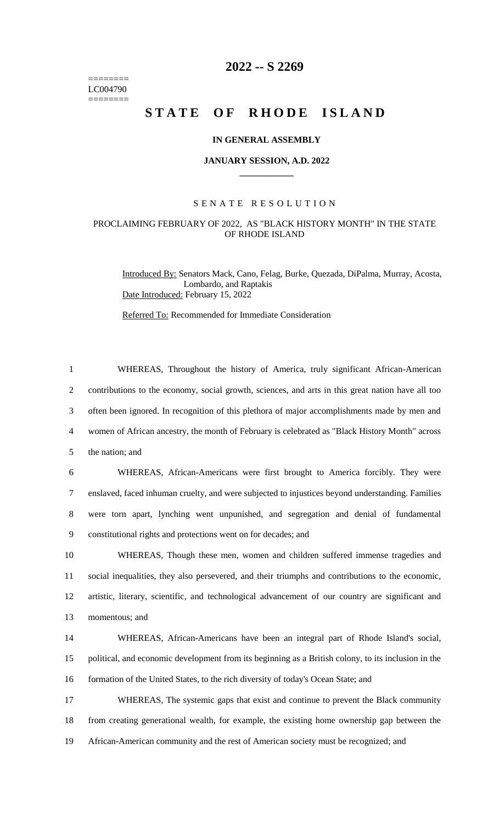======== LC004790  $=$ 

## **2022 -- S 2269**

# STATE OF RHODE ISLAND

#### **IN GENERAL ASSEMBLY**

#### **JANUARY SESSION, A.D. 2022 \_\_\_\_\_\_\_\_\_\_\_\_**

### S E N A T E R E S O L U T I O N

#### PROCLAIMING FEBRUARY OF 2022, AS "BLACK HISTORY MONTH" IN THE STATE OF RHODE ISLAND

Introduced By: Senators Mack, Cano, Felag, Burke, Quezada, DiPalma, Murray, Acosta, Lombardo, and Raptakis Date Introduced: February 15, 2022

Referred To: Recommended for Immediate Consideration

| $\mathbf{1}$   | WHEREAS, Throughout the history of America, truly significant African-American                      |
|----------------|-----------------------------------------------------------------------------------------------------|
| $\overline{2}$ | contributions to the economy, social growth, sciences, and arts in this great nation have all too   |
| 3              | often been ignored. In recognition of this plethora of major accomplishments made by men and        |
| $\overline{4}$ | women of African ancestry, the month of February is celebrated as "Black History Month" across      |
| 5              | the nation; and                                                                                     |
| 6              | WHEREAS, African-Americans were first brought to America forcibly. They were                        |
| $\tau$         | enslaved, faced inhuman cruelty, and were subjected to injustices beyond understanding. Families    |
| 8              | were torn apart, lynching went unpunished, and segregation and denial of fundamental                |
| 9              | constitutional rights and protections went on for decades; and                                      |
| 10             | WHEREAS, Though these men, women and children suffered immense tragedies and                        |
| 11             | social inequalities, they also persevered, and their triumphs and contributions to the economic,    |
| 12             | artistic, literary, scientific, and technological advancement of our country are significant and    |
| 13             | momentous; and                                                                                      |
| 14             | WHEREAS, African-Americans have been an integral part of Rhode Island's social,                     |
| 15             | political, and economic development from its beginning as a British colony, to its inclusion in the |
| 16             | formation of the United States, to the rich diversity of today's Ocean State; and                   |
| 17             | WHEREAS, The systemic gaps that exist and continue to prevent the Black community                   |
| 18             | from creating generational wealth, for example, the existing home ownership gap between the         |
| 19             | African-American community and the rest of American society must be recognized; and                 |